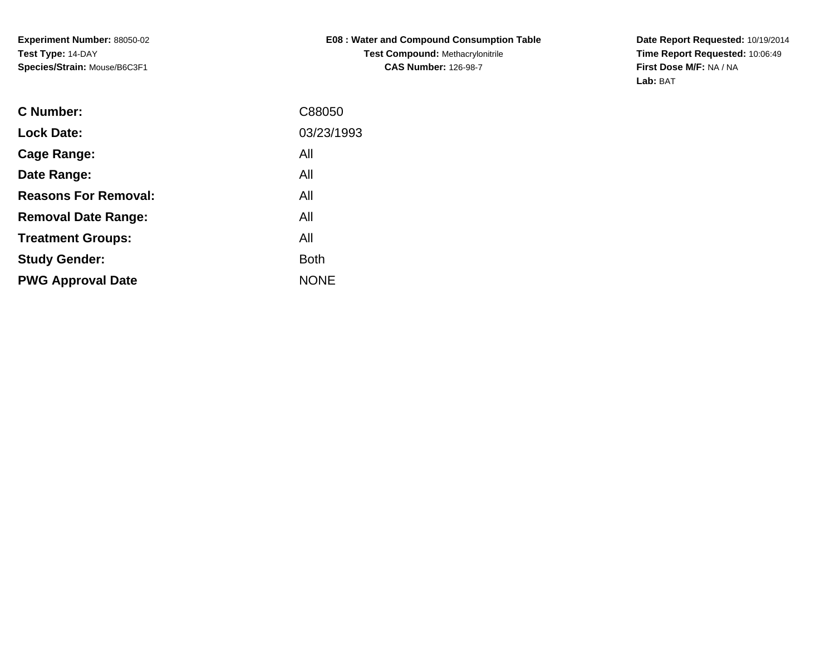**Experiment Number:** 88050-02**Test Type:** 14-DAY**Species/Strain:** Mouse/B6C3F1

**E08 : Water and Compound Consumption TableTest Compound:** Methacrylonitrile**CAS Number:** 126-98-7

**Date Report Requested:** 10/19/2014 **Time Report Requested:** 10:06:49**First Dose M/F:** NA / NA**Lab:** BAT

| <b>C</b> Number:            | C88050      |
|-----------------------------|-------------|
| <b>Lock Date:</b>           | 03/23/1993  |
| Cage Range:                 | All         |
| Date Range:                 | All         |
| <b>Reasons For Removal:</b> | All         |
| <b>Removal Date Range:</b>  | All         |
| <b>Treatment Groups:</b>    | All         |
| <b>Study Gender:</b>        | <b>Both</b> |
| <b>PWG Approval Date</b>    | <b>NONE</b> |
|                             |             |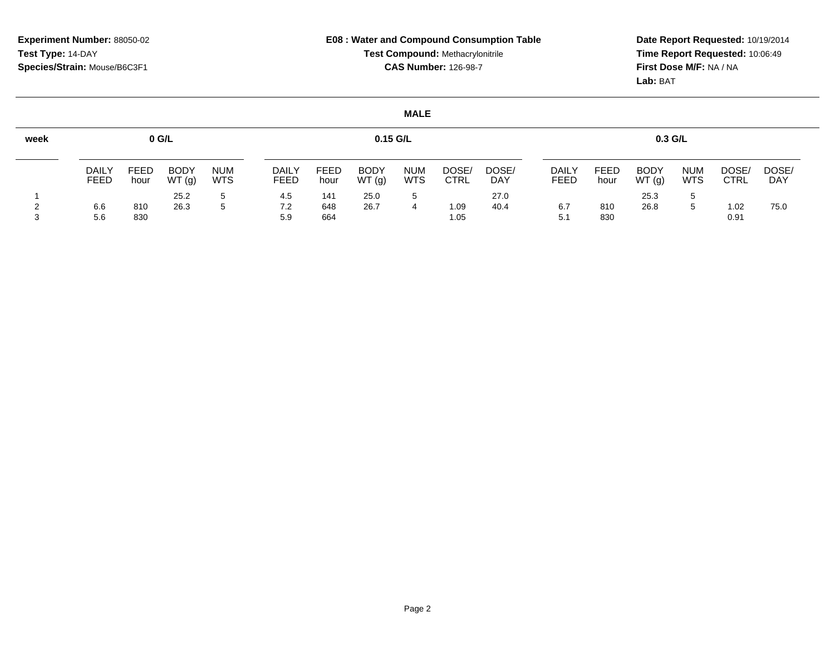**Date Report Requested:** 10/19/2014 **Time Report Requested:** 10:06:49**First Dose M/F:** NA / NA**Lab:** BAT

| week |                      |              | 0 G/L                |                          |                      |                     | $0.15$ G/L           |                          |                      |                     |                             |              | $0.3$ G/L            |                          |                      |              |
|------|----------------------|--------------|----------------------|--------------------------|----------------------|---------------------|----------------------|--------------------------|----------------------|---------------------|-----------------------------|--------------|----------------------|--------------------------|----------------------|--------------|
|      | DAILY<br><b>FEED</b> | FEED<br>hour | <b>BODY</b><br>WT(g) | <b>NUM</b><br><b>WTS</b> | <b>DAILY</b><br>FEED | <b>FEED</b><br>hour | <b>BODY</b><br>WT(g) | <b>NUM</b><br><b>WTS</b> | DOSE/<br><b>CTRL</b> | DOSE/<br><b>DAY</b> | <b>DAILY</b><br><b>FEED</b> | FEED<br>hour | <b>BODY</b><br>WT(g) | <b>NUM</b><br><b>WTS</b> | DOSE/<br><b>CTRL</b> | DOSE/<br>DAY |
|      |                      |              | 25.2                 | $5^{\circ}$              | 4.5                  | 141                 | 25.0                 |                          |                      | 27.0                |                             |              | 25.3                 | 5                        |                      |              |
|      | 6.6<br>5.6           | 810<br>830   | 26.3                 | 5                        | 7.2<br>5.9           | 648<br>664          | 26.7                 |                          | 1.09<br>1.05         | 40.4                | 6.7<br>5.1                  | 810<br>830   | 26.8                 | 5                        | 1.02<br>0.91         | 75.0         |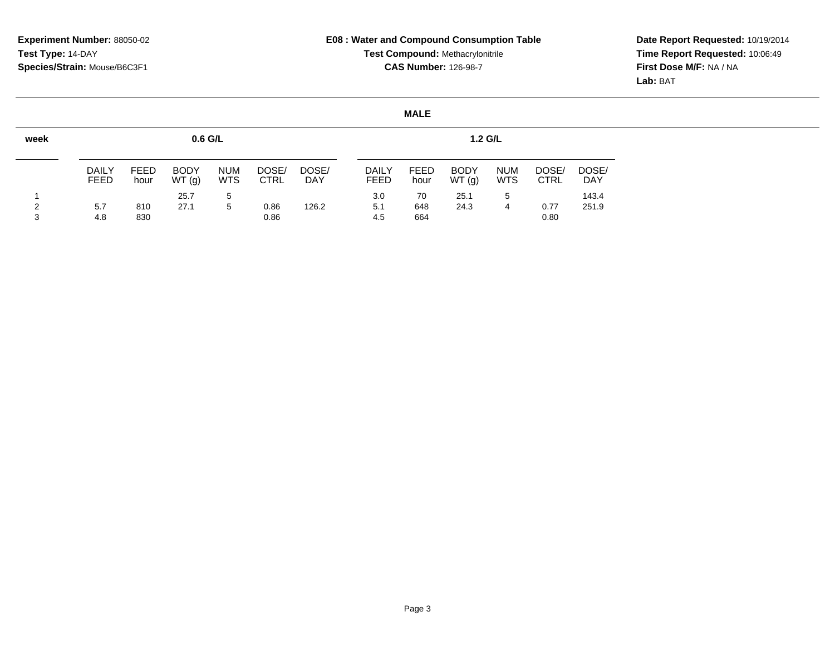**Date Report Requested:** 10/19/2014 **Time Report Requested:** 10:06:49**First Dose M/F:** NA / NA**Lab:** BAT

| week   |                      |                     | $0.6$ G/L            |                          |                      |              |                             |                     | $1.2$ G/L            |                          |               |                     |
|--------|----------------------|---------------------|----------------------|--------------------------|----------------------|--------------|-----------------------------|---------------------|----------------------|--------------------------|---------------|---------------------|
|        | <b>DAILY</b><br>FEED | <b>FEED</b><br>hour | <b>BODY</b><br>WT(g) | <b>NUM</b><br><b>WTS</b> | DOSE/<br><b>CTRL</b> | DOSE/<br>DAY | <b>DAILY</b><br><b>FEED</b> | <b>FEED</b><br>hour | <b>BODY</b><br>WT(g) | <b>NUM</b><br><b>WTS</b> | DOSE/<br>CTRL | DOSE/<br><b>DAY</b> |
| າ<br>3 | 5.7<br>4.8           | 810<br>830          | 25.7<br>27.1         | 5<br>5                   | 0.86<br>0.86         | 126.2        | 3.0<br>5.1<br>4.5           | 70<br>648<br>664    | 25.1<br>24.3         | 5<br>4                   | 0.77<br>0.80  | 143.4<br>251.9      |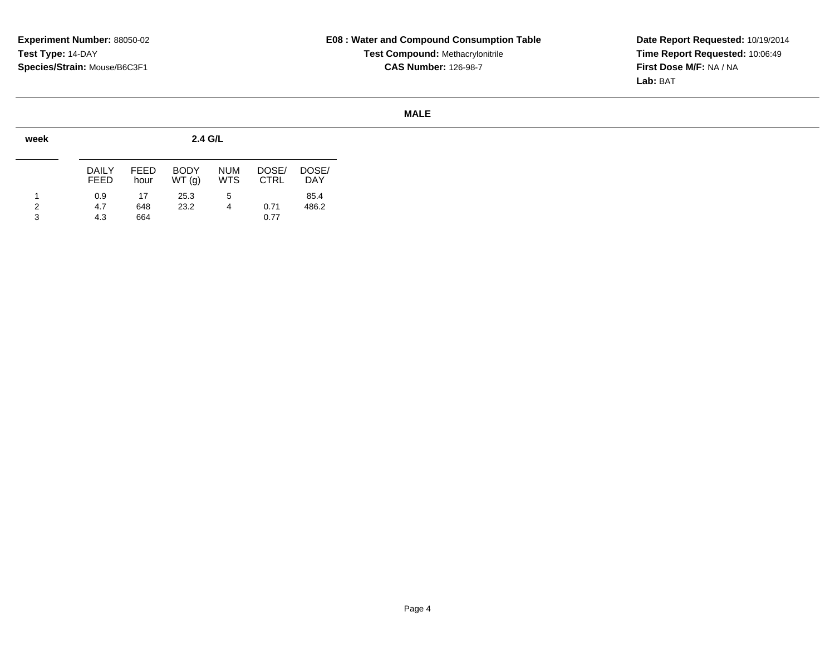**Date Report Requested:** 10/19/2014 **Time Report Requested:** 10:06:49**First Dose M/F:** NA / NA**Lab:** BAT

| week        |                      |                     | 2.4 G/L              |                          |                      |                     |
|-------------|----------------------|---------------------|----------------------|--------------------------|----------------------|---------------------|
|             | DAILY<br><b>FEED</b> | <b>FEED</b><br>hour | <b>BODY</b><br>WT(q) | <b>NUM</b><br><b>WTS</b> | DOSE/<br><b>CTRL</b> | DOSE/<br><b>DAY</b> |
| 1<br>2<br>3 | 0.9<br>4.7<br>4.3    | 17<br>648<br>664    | 25.3<br>23.2         | 5<br>4                   | 0.71<br>0.77         | 85.4<br>486.2       |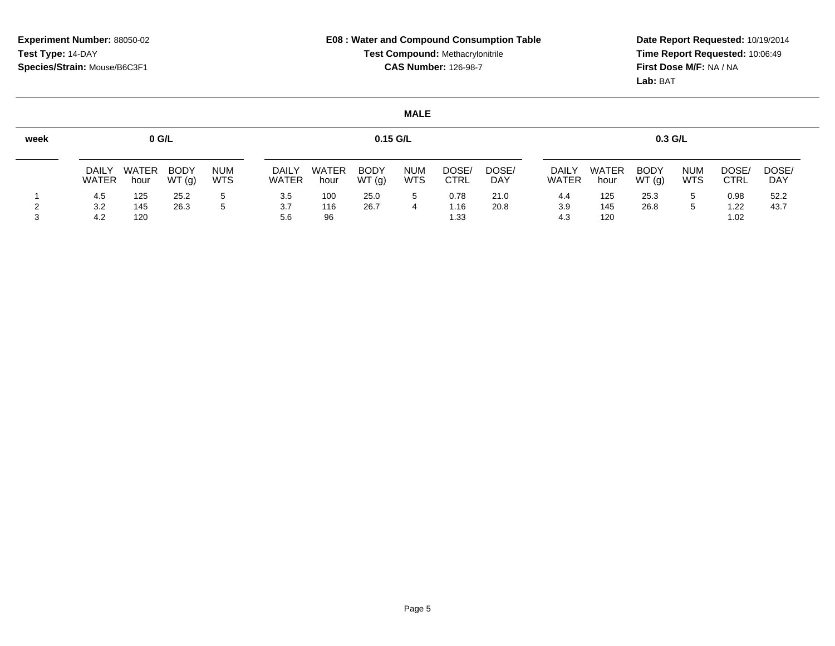**Date Report Requested:** 10/19/2014 **Time Report Requested:** 10:06:49**First Dose M/F:** NA / NA**Lab:** BAT

| week |                              |               | 0 G/L                |                          |                      |                      | $0.15$ G/L           |                          |               |              |                |               | $0.3$ G/L            |                          |                      |                     |
|------|------------------------------|---------------|----------------------|--------------------------|----------------------|----------------------|----------------------|--------------------------|---------------|--------------|----------------|---------------|----------------------|--------------------------|----------------------|---------------------|
|      | <b>DAILY</b><br><b>WATER</b> | WATER<br>hour | <b>BODY</b><br>WT(g) | <b>NUM</b><br><b>WTS</b> | DAIL<br><b>WATER</b> | <b>WATER</b><br>hour | <b>BODY</b><br>WT(g) | <b>NUM</b><br><b>WTS</b> | DOSE/<br>CTRL | DOSE/<br>DAY | DAILY<br>WATER | WATER<br>hour | <b>BODY</b><br>WT(g) | <b>NUM</b><br><b>WTS</b> | DOSE/<br><b>CTRL</b> | DOSE/<br><b>DAY</b> |
|      | 4.5                          | 125           | 25.2                 | 5                        | 3.5                  | 100                  | 25.0                 |                          | 0.78          | 21.0         | 4.4            | 125           | 25.3                 |                          | 0.98                 | 52.2                |
|      | 3.2                          | 145           | 26.3                 | 5                        | 3.7                  | 116                  | 26.7                 |                          | 1.16          | 20.8         | 3.9            | 145           | 26.8                 |                          | l.22                 | 43.7                |
|      | 4.2                          | 120           |                      |                          | 5.6                  | 96                   |                      |                          | 1.33          |              | 4.3            | 120           |                      |                          | 1.02                 |                     |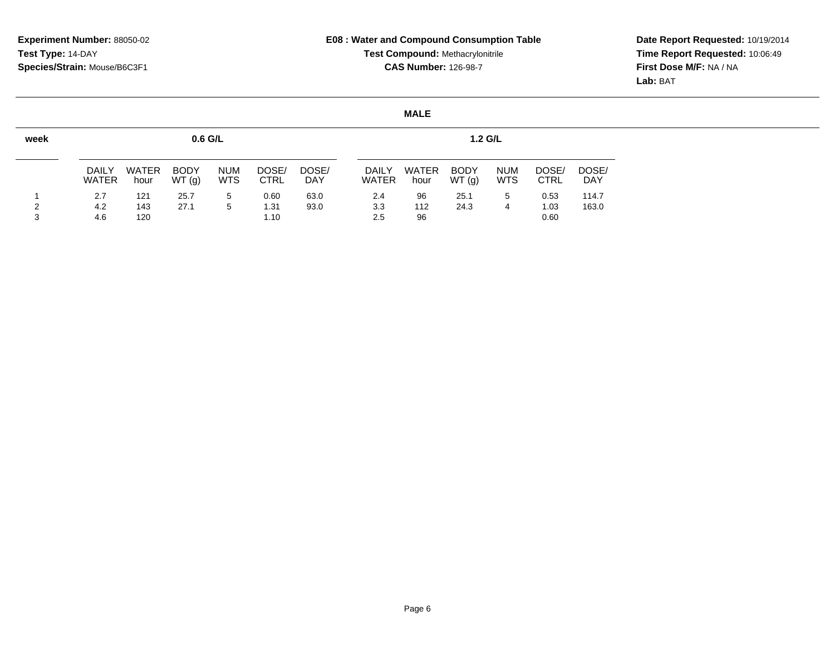**Date Report Requested:** 10/19/2014 **Time Report Requested:** 10:06:49**First Dose M/F:** NA / NA**Lab:** BAT

| <b>DAILY</b><br><b>WATER</b> | <b>WATER</b><br>hour | <b>BODY</b><br>WT(g) | <b>NUM</b><br><b>WTS</b> | DOSE/<br><b>CTRL</b> | DOSE/<br><b>DAY</b> | <b>DAILY</b><br><b>WATER</b> | <b>WATER</b><br>hour | <b>BODY</b><br>WT(g) | <b>NUM</b><br><b>WTS</b> | DOSE/<br><b>CTRL</b> | DOSE/<br><b>DAY</b> |
|------------------------------|----------------------|----------------------|--------------------------|----------------------|---------------------|------------------------------|----------------------|----------------------|--------------------------|----------------------|---------------------|
| 2.7                          | 121                  | 25.7                 | 5                        | 0.60                 | 63.0                | 2.4                          | 96                   | 25.1                 | 5                        | 0.53                 | 114.7               |
| 4.2                          | 143                  | 27.1                 | 5                        | 1.31                 | 93.0                | 3.3                          | 112                  | 24.3                 | 4                        | 1.03                 | 163.0               |
|                              | 4.6                  | 120                  |                          | $0.6$ G/L            | 1.10                |                              | 2.5                  | 96                   |                          | $1.2$ G/L            | 0.60                |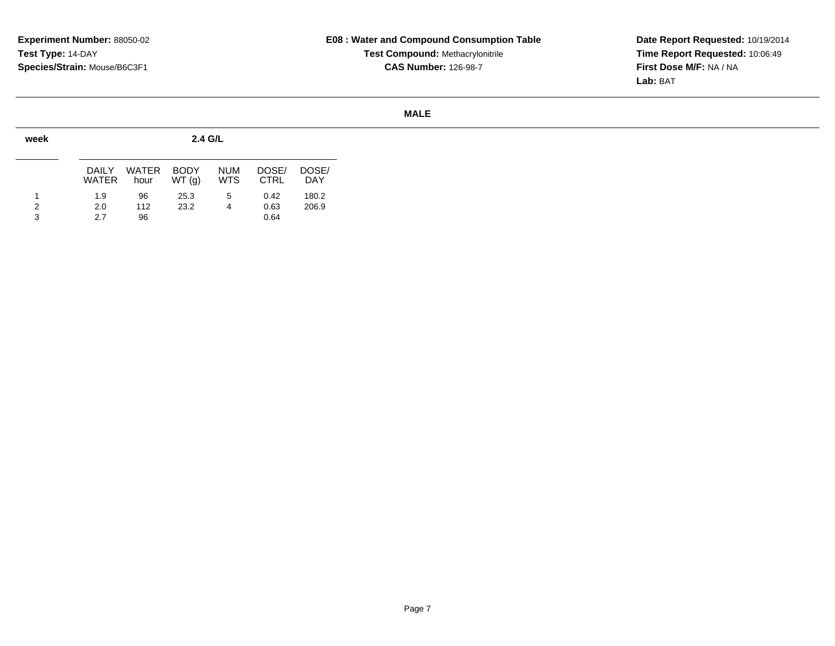**Date Report Requested:** 10/19/2014 **Time Report Requested:** 10:06:49**First Dose M/F:** NA / NA**Lab:** BAT

| week |                |                      | 2.4 G/L              |                          |                      |                     |
|------|----------------|----------------------|----------------------|--------------------------|----------------------|---------------------|
|      | DAILY<br>WATER | <b>WATER</b><br>hour | <b>BODY</b><br>WT(q) | <b>NUM</b><br><b>WTS</b> | DOSE/<br><b>CTRL</b> | DOSE/<br><b>DAY</b> |
| 1    | 1.9            | 96                   | 25.3                 | 5                        | 0.42                 | 180.2               |
| 2    | 2.0            | 112                  | 23.2                 | 4                        | 0.63                 | 206.9               |
| 3    | 2.7            | 96                   |                      |                          | 0.64                 |                     |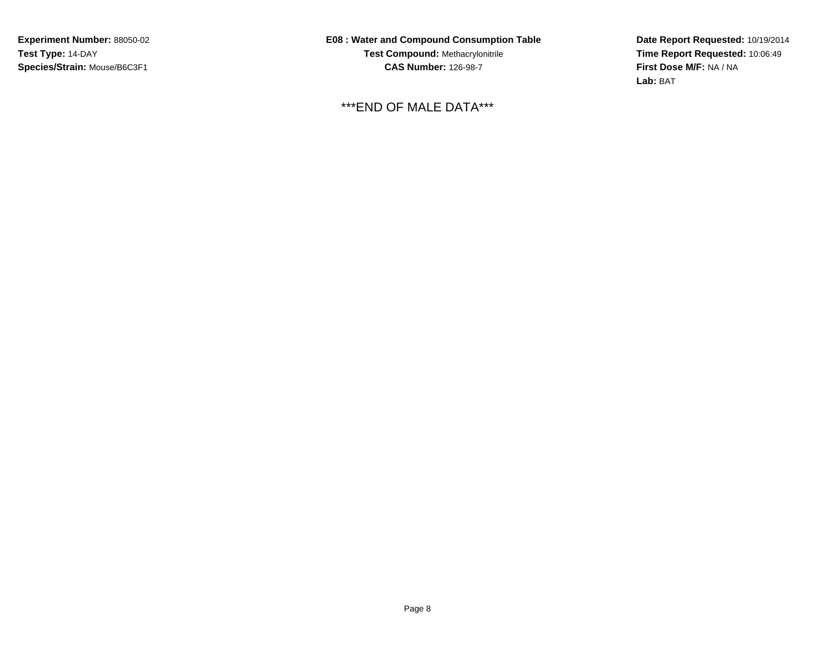**Experiment Number:** 88050-02**Test Type:** 14-DAY**Species/Strain:** Mouse/B6C3F1

**E08 : Water and Compound Consumption TableTest Compound:** Methacrylonitrile**CAS Number:** 126-98-7

\*\*\*END OF MALE DATA\*\*\*

**Date Report Requested:** 10/19/2014 **Time Report Requested:** 10:06:49**First Dose M/F:** NA / NA**Lab:** BAT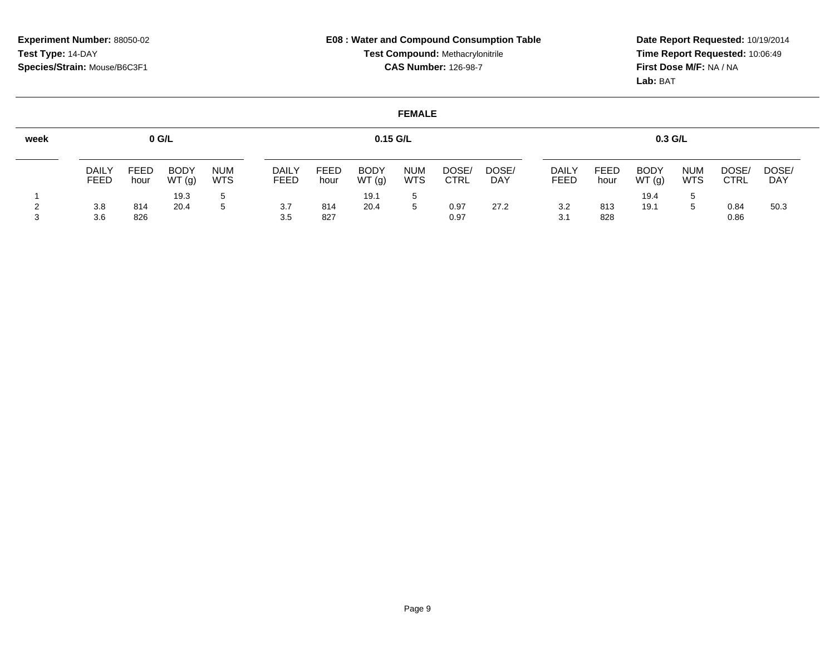**Date Report Requested:** 10/19/2014 **Time Report Requested:** 10:06:49**First Dose M/F:** NA / NA**Lab:** BAT

| week |                      |                     | $0$ G/L              |                          |                      |                     | $0.15$ G/L           |                          |                      |              |                      |              | $0.3$ G/L            |                          |               |                     |
|------|----------------------|---------------------|----------------------|--------------------------|----------------------|---------------------|----------------------|--------------------------|----------------------|--------------|----------------------|--------------|----------------------|--------------------------|---------------|---------------------|
|      | <b>DAILY</b><br>FEED | <b>FEED</b><br>hour | <b>BODY</b><br>WT(g) | <b>NUM</b><br><b>WTS</b> | <b>DAILY</b><br>FEED | <b>FEED</b><br>hour | <b>BODY</b><br>WT(g) | <b>NUM</b><br><b>WTS</b> | DOSE/<br><b>CTRL</b> | DOSE/<br>DAY | <b>DAILY</b><br>FEED | FEED<br>hour | <b>BODY</b><br>WT(g) | <b>NUM</b><br><b>WTS</b> | DOSE/<br>CTRL | DOSE/<br><b>DAY</b> |
|      | 3.8<br>3.6           | 814<br>826          | 19.3<br>20.4         |                          | 3.7<br>3.5           | 814<br>827          | 19.1<br>20.4         | -5<br>5                  | 0.97<br>0.97         | 27.2         | 3.2<br>3.1           | 813<br>828   | 19.4<br>19.1         | 5                        | 0.84<br>0.86  | 50.3                |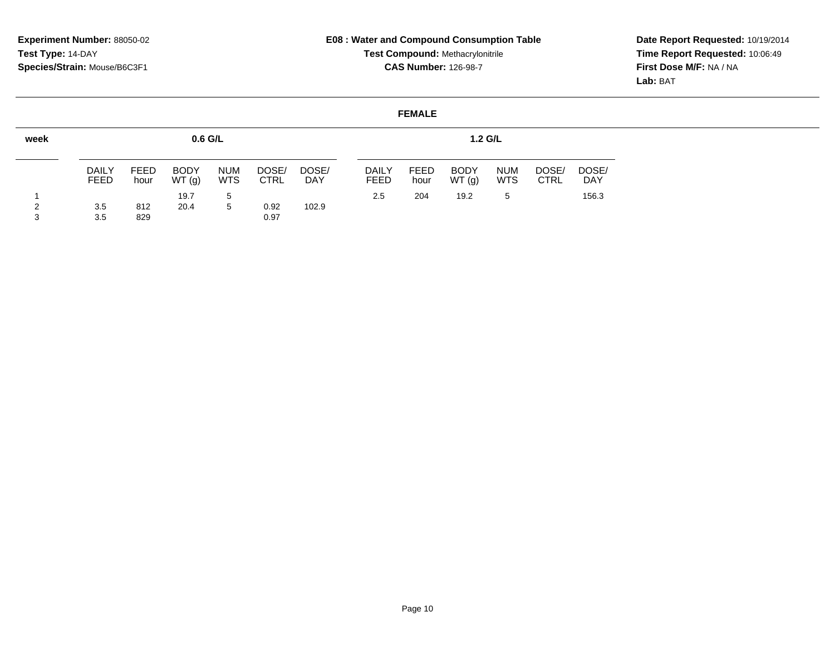<sup>829</sup> 0.97

3

# **E08 : Water and Compound Consumption TableTest Compound:** Methacrylonitrile**CAS Number:** 126-98-7

**Date Report Requested:** 10/19/2014 **Time Report Requested:** 10:06:49**First Dose M/F:** NA / NA**Lab:** BAT

#### **FEMALEweek**1 2**0.6 G/L**DAILY FEEDFEED hourBODY WT (g)NUM WTS <sup>5</sup> DOSE/ CTRLDOSE/ DAY19.73.5 <sup>812</sup> 20.4 <sup>5</sup> 0.92 102.9 3.5**1.2 G/L**DAILY FEED 2.5FEED hourBODY WT (g)NUM WTS $5\overline{)}$ DOSE/ CTRLDOSE/ DAY156.3 <sup>204</sup> 19.2 <sup>5</sup> 156.3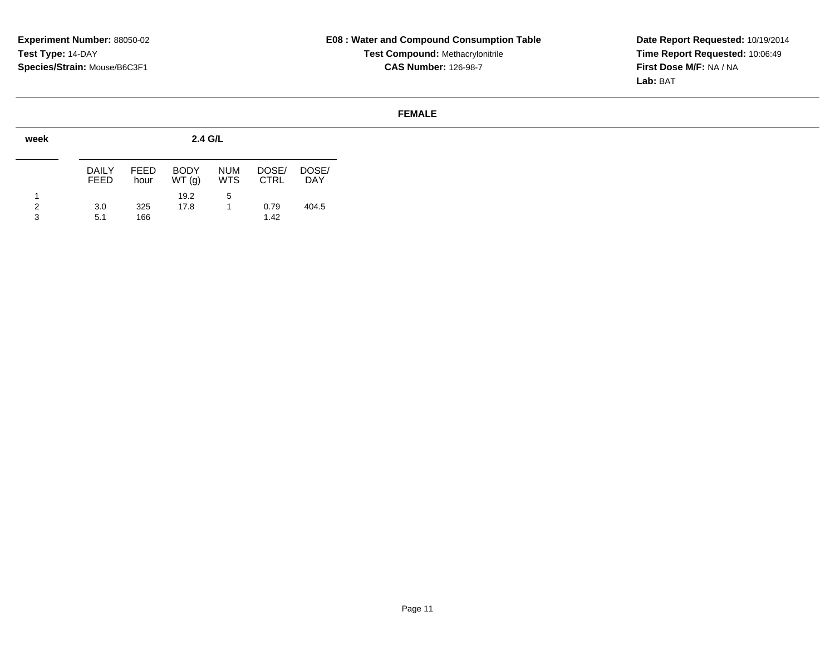**Date Report Requested:** 10/19/2014 **Time Report Requested:** 10:06:49**First Dose M/F:** NA / NA**Lab:** BAT

| week        |                       |              | $2.4$ G/L            |                          |                      |                     |
|-------------|-----------------------|--------------|----------------------|--------------------------|----------------------|---------------------|
|             | DAIL Y<br><b>FEED</b> | FEED<br>hour | <b>BODY</b><br>WT(q) | <b>NUM</b><br><b>WTS</b> | DOSE/<br><b>CTRL</b> | DOSE/<br><b>DAY</b> |
| 1<br>2<br>3 | 3.0<br>5.1            | 325<br>166   | 19.2<br>17.8         | 5                        | 0.79<br>1.42         | 404.5               |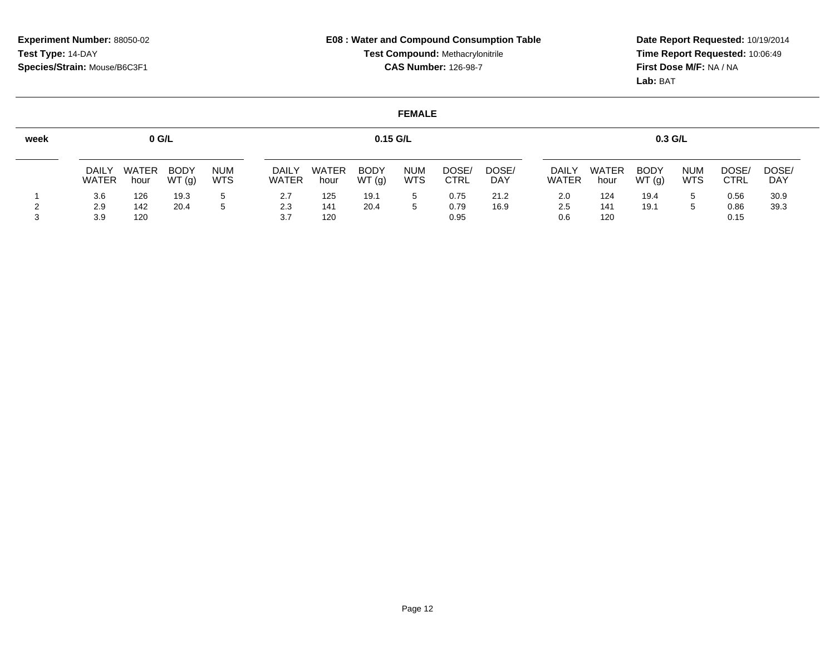**Date Report Requested:** 10/19/2014 **Time Report Requested:** 10:06:49**First Dose M/F:** NA / NA**Lab:** BAT

| week |                              | $0$ G/L              |                      |                          |                       |                      | $0.15$ G/L           |                          |                      |                     |                       |                      | $0.3$ G/L            |                          |               |                     |
|------|------------------------------|----------------------|----------------------|--------------------------|-----------------------|----------------------|----------------------|--------------------------|----------------------|---------------------|-----------------------|----------------------|----------------------|--------------------------|---------------|---------------------|
|      | <b>DAILY</b><br><b>WATER</b> | <b>WATER</b><br>hour | <b>BODY</b><br>WT(g) | <b>NUM</b><br><b>WTS</b> | <b>DAILY</b><br>WATER | <b>WATER</b><br>hour | <b>BODY</b><br>WT(g) | <b>NUM</b><br><b>WTS</b> | DOSE/<br><b>CTRL</b> | DOSE/<br><b>DAY</b> | DAILY<br><b>WATER</b> | <b>WATER</b><br>hour | <b>BODY</b><br>WT(g) | <b>NUM</b><br><b>WTS</b> | DOSE/<br>CTRL | DOSE/<br><b>DAY</b> |
|      | 3.6                          | 126                  | 19.3                 |                          | 2.7                   | 125                  | 19.1                 | 5                        | 0.75                 | 21.2                | 2.0                   | 124                  | 19.4                 | 5                        | 0.56          | 30.9                |
|      | 2.9                          | 142                  | 20.4                 |                          | 2.3                   | 141                  | 20.4                 |                          | 0.79                 | 16.9                | 2.5                   | 141                  | 19.1                 |                          | 0.86          | 39.3                |
|      | 3.9                          | 120                  |                      |                          | 3.7                   | 120                  |                      |                          | 0.95                 |                     | 0.6                   | 120                  |                      |                          | 0.15          |                     |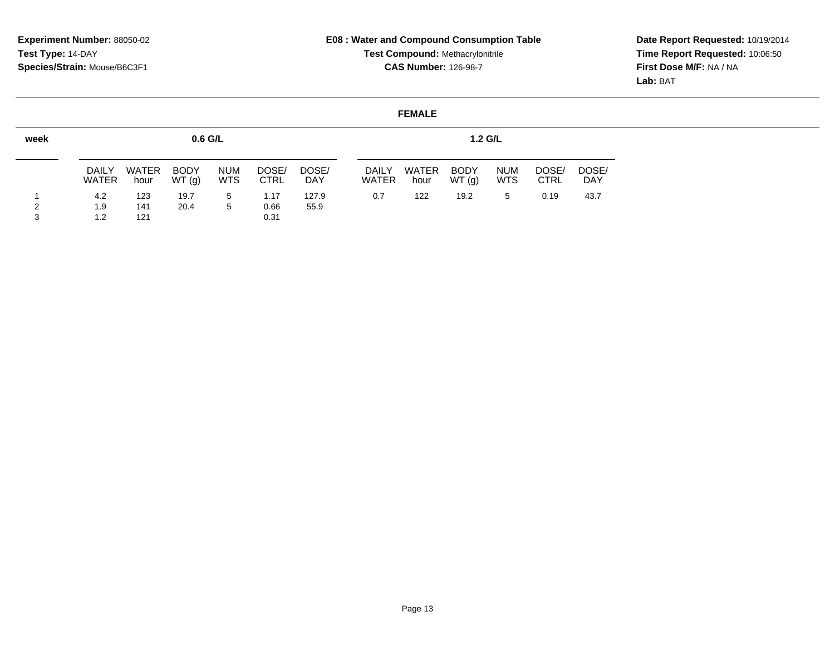**Date Report Requested:** 10/19/2014 **Time Report Requested:** 10:06:50**First Dose M/F:** NA / NA**Lab:** BAT

| week   |                              |                   | $0.6$ G/L            |                          |                      |                     |                              |               | $1.2$ G/L            |                          |                      |                     |
|--------|------------------------------|-------------------|----------------------|--------------------------|----------------------|---------------------|------------------------------|---------------|----------------------|--------------------------|----------------------|---------------------|
|        | <b>DAILY</b><br><b>WATER</b> | WATER<br>hour     | <b>BODY</b><br>WT(g) | <b>NUM</b><br><b>WTS</b> | DOSE/<br><b>CTRL</b> | DOSE/<br><b>DAY</b> | <b>DAILY</b><br><b>WATER</b> | WATER<br>hour | <b>BODY</b><br>WT(g) | <b>NUM</b><br><b>WTS</b> | DOSE/<br><b>CTRL</b> | DOSE/<br><b>DAY</b> |
| ົ<br>3 | 4.2<br>1.9<br>1.2            | 123<br>141<br>121 | 19.7<br>20.4         | 5<br>5                   | 1.17<br>0.66<br>0.31 | 127.9<br>55.9       | 0.7                          | 122           | 19.2                 | 5                        | 0.19                 | 43.7                |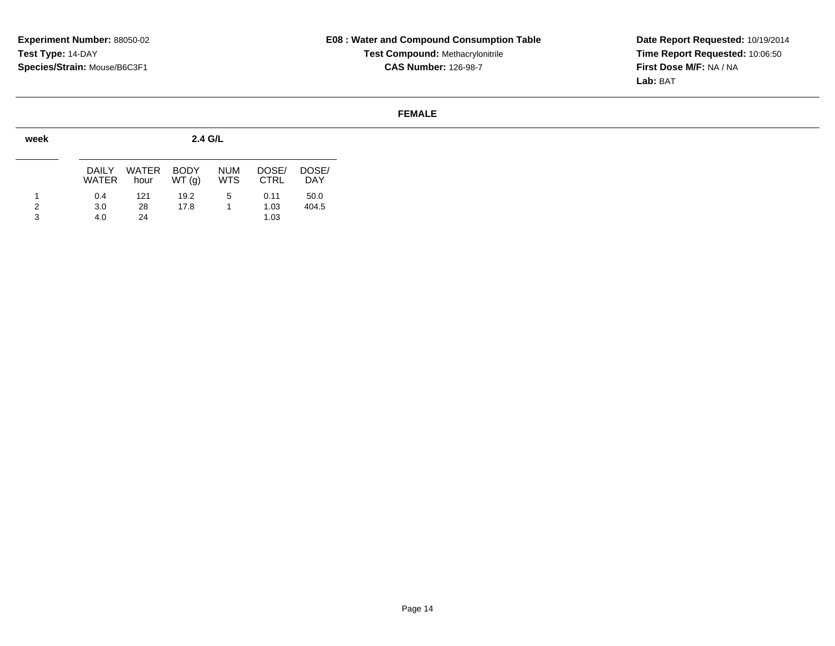**Date Report Requested:** 10/19/2014 **Time Report Requested:** 10:06:50**First Dose M/F:** NA / NA**Lab:** BAT

| week |                       |                      | 2.4 G/L              |                          |                      |                     |
|------|-----------------------|----------------------|----------------------|--------------------------|----------------------|---------------------|
|      | <b>DAILY</b><br>WATER | <b>WATER</b><br>hour | <b>BODY</b><br>WT(q) | <b>NUM</b><br><b>WTS</b> | DOSE/<br><b>CTRL</b> | DOSE/<br><b>DAY</b> |
| 2    | 0.4<br>3.0            | 121<br>28            | 19.2<br>17.8         | 5                        | 0.11<br>1.03         | 50.0<br>404.5       |
| 3    | 4.0                   | 24                   |                      |                          | 1.03                 |                     |